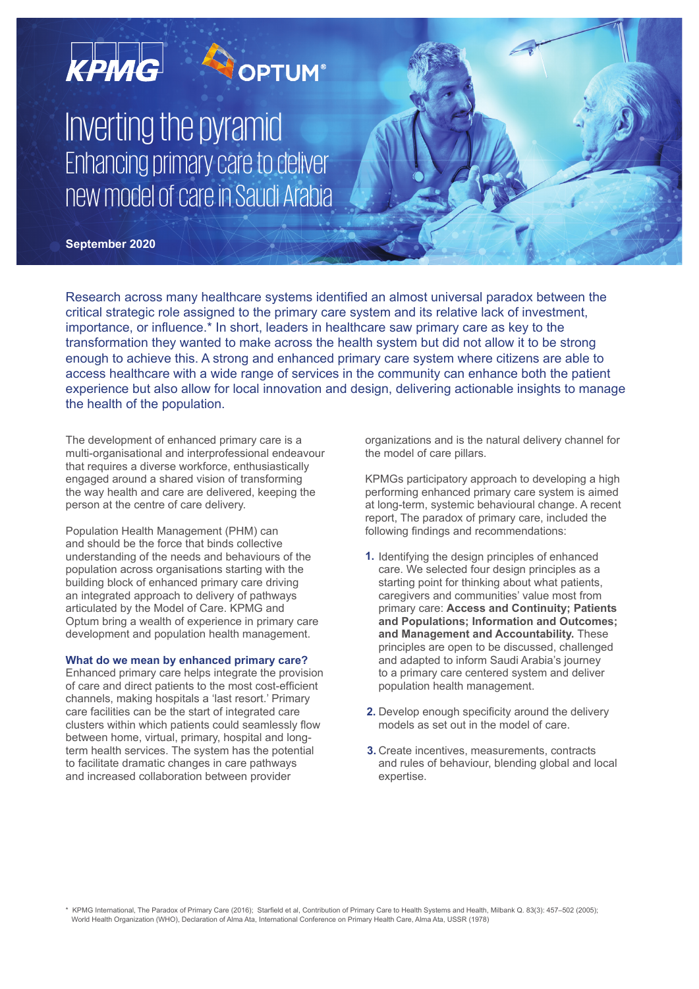

Research across many healthcare systems identified an almost universal paradox between the critical strategic role assigned to the primary care system and its relative lack of investment, importance, or influence.\* In short, leaders in healthcare saw primary care as key to the transformation they wanted to make across the health system but did not allow it to be strong enough to achieve this. A strong and enhanced primary care system where citizens are able to access healthcare with a wide range of services in the community can enhance both the patient experience but also allow for local innovation and design, delivering actionable insights to manage the health of the population.

The development of enhanced primary care is a multi-organisational and interprofessional endeavour that requires a diverse workforce, enthusiastically engaged around a shared vision of transforming the way health and care are delivered, keeping the person at the centre of care delivery.

Population Health Management (PHM) can and should be the force that binds collective understanding of the needs and behaviours of the population across organisations starting with the building block of enhanced primary care driving an integrated approach to delivery of pathways articulated by the Model of Care. KPMG and Optum bring a wealth of experience in primary care development and population health management.

## **What do we mean by enhanced primary care?**

Enhanced primary care helps integrate the provision of care and direct patients to the most cost-efficient channels, making hospitals a 'last resort.' Primary care facilities can be the start of integrated care clusters within which patients could seamlessly flow between home, virtual, primary, hospital and longterm health services. The system has the potential to facilitate dramatic changes in care pathways and increased collaboration between provider

organizations and is the natural delivery channel for the model of care pillars.

KPMGs participatory approach to developing a high performing enhanced primary care system is aimed at long-term, systemic behavioural change. A recent report, The paradox of primary care, included the following findings and recommendations:

- **1.** Identifying the design principles of enhanced care. We selected four design principles as a starting point for thinking about what patients, caregivers and communities' value most from primary care: **Access and Continuity; Patients and Populations; Information and Outcomes; and Management and Accountability.** These principles are open to be discussed, challenged and adapted to inform Saudi Arabia's journey to a primary care centered system and deliver population health management.
- **2.** Develop enough specificity around the delivery models as set out in the model of care.
- **3.** Create incentives, measurements, contracts and rules of behaviour, blending global and local expertise.

\* KPMG International, The Paradox of Primary Care (2016); Starfield et al, Contribution of Primary Care to Health Systems and Health, Milbank Q. 83(3): 457–502 (2005); World Health Organization (WHO), Declaration of Alma Ata, International Conference on Primary Health Care, Alma Ata, USSR (1978)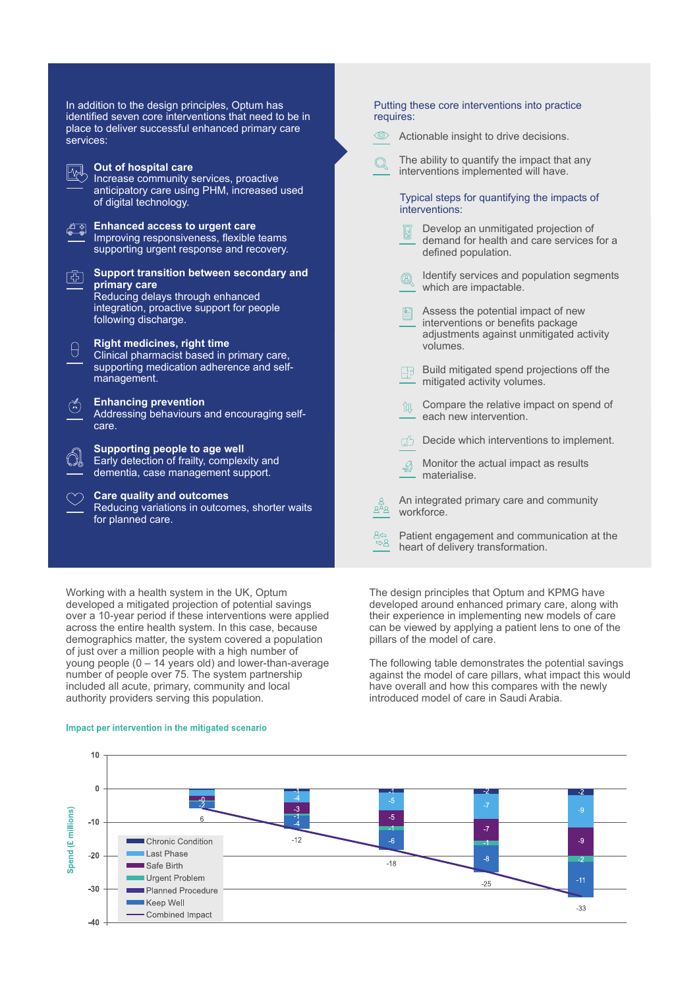| In addition to the design principles, Optum has<br>identified seven core interventions that need to be in                     | Putting these core interventions into practice<br>requires:                                                         |
|-------------------------------------------------------------------------------------------------------------------------------|---------------------------------------------------------------------------------------------------------------------|
| place to deliver successful enhanced primary care<br>services:                                                                | <(0)><br>Actionable insight to drive decisions.                                                                     |
| Out of hospital care<br>Increase community services, proactive                                                                | The ability to quantify the impact that any<br>interventions implemented will have.                                 |
| anticipatory care using PHM, increased used<br>of digital technology.                                                         | Typical steps for quantifying the impacts of<br>interventions:                                                      |
| <b>Enhanced access to urgent care</b><br>Improving responsiveness, flexible teams<br>supporting urgent response and recovery. | Develop an unmitigated projection of<br>demand for health and care services for a<br>defined population.            |
| Support transition between secondary and<br>Œ<br>primary care<br>Reducing delays through enhanced                             | Identify services and population segments<br>Q<br>which are impactable.                                             |
| integration, proactive support for people<br>following discharge.                                                             | Assess the potential impact of new<br>interventions or benefits package<br>adjustments against unmitigated activity |
| <b>Right medicines, right time</b><br>Clinical pharmacist based in primary care,                                              | volumes.                                                                                                            |
| supporting medication adherence and self-<br>management.                                                                      | Build mitigated spend projections off the<br>用<br>mitigated activity volumes.                                       |
| <b>Enhancing prevention</b><br>گلم<br>Addressing behaviours and encouraging self-<br>care.                                    | Compare the relative impact on spend of<br>each new intervention.                                                   |
| Supporting people to age well                                                                                                 | Decide which interventions to implement.                                                                            |
| Early detection of frailty, complexity and<br>dementia, case management support.                                              | Monitor the actual impact as results<br>€<br>materialise.                                                           |
| <b>Care quality and outcomes</b><br>Reducing variations in outcomes, shorter waits<br>for planned care.                       | An integrated primary care and community<br>workforce.                                                              |
|                                                                                                                               | Patient engagement and communication at the<br>ర⇔<br>౪&<br>heart of delivery transformation.                        |

Working with a health system in the UK, Optum developed a mitigated projection of potential savings over a 10-year period if these interventions were applied across the entire health system. In this case, because demographics matter, the system covered a population of just over a million people with a high number of young people (0 – 14 years old) and lower-than-average number of people over 75. The system partnership included all acute, primary, community and local authority providers serving this population.

#### Impact per intervention in the mitigated scenario

The design principles that Optum and KPMG have developed around enhanced primary care, along with their experience in implementing new models of care can be viewed by applying a patient lens to one of the pillars of the model of care.

The following table demonstrates the potential savings against the model of care pillars, what impact this would have overall and how this compares with the newly introduced model of care in Saudi Arabia.

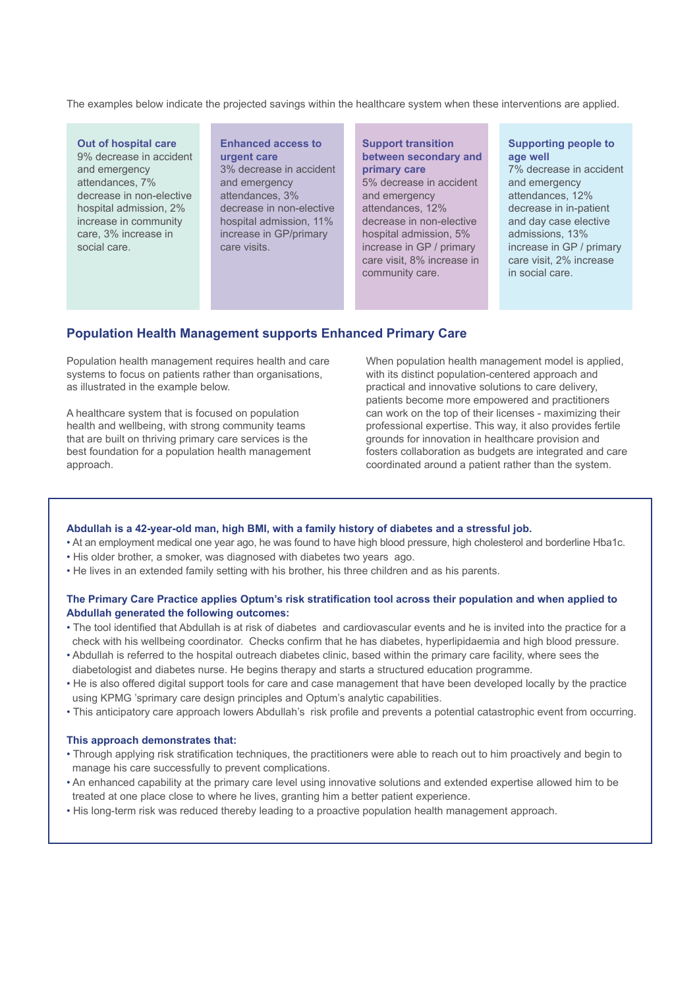The examples below indicate the projected savings within the healthcare system when these interventions are applied.

#### **Out of hospital care** 9% decrease in accident and emergency attendances, 7% decrease in non-elective hospital admission, 2% increase in community care, 3% increase in social care.

## **Enhanced access to urgent care**

3% decrease in accident and emergency attendances, 3% decrease in non-elective hospital admission, 11% increase in GP/primary care visits.

#### **Support transition between secondary and primary care**

5% decrease in accident and emergency attendances, 12% decrease in non-elective hospital admission, 5% increase in GP / primary care visit, 8% increase in community care.

#### **Supporting people to age well**

7% decrease in accident and emergency attendances, 12% decrease in in-patient and day case elective admissions, 13% increase in GP / primary care visit, 2% increase in social care.

# **Population Health Management supports Enhanced Primary Care**

Population health management requires health and care systems to focus on patients rather than organisations, as illustrated in the example below.

A healthcare system that is focused on population health and wellbeing, with strong community teams that are built on thriving primary care services is the best foundation for a population health management approach.

When population health management model is applied, with its distinct population-centered approach and practical and innovative solutions to care delivery, patients become more empowered and practitioners can work on the top of their licenses - maximizing their professional expertise. This way, it also provides fertile grounds for innovation in healthcare provision and fosters collaboration as budgets are integrated and care coordinated around a patient rather than the system.

#### **Abdullah is a 42-year-old man, high BMI, with a family history of diabetes and a stressful job.**

- At an employment medical one year ago, he was found to have high blood pressure, high cholesterol and borderline Hba1c.
- His older brother, a smoker, was diagnosed with diabetes two years ago.
- He lives in an extended family setting with his brother, his three children and as his parents.

## **The Primary Care Practice applies Optum's risk stratification tool across their population and when applied to Abdullah generated the following outcomes:**

- The tool identified that Abdullah is at risk of diabetes and cardiovascular events and he is invited into the practice for a check with his wellbeing coordinator. Checks confirm that he has diabetes, hyperlipidaemia and high blood pressure.
- Abdullah is referred to the hospital outreach diabetes clinic, based within the primary care facility, where sees the diabetologist and diabetes nurse. He begins therapy and starts a structured education programme.
- He is also offered digital support tools for care and case management that have been developed locally by the practice using KPMG 'sprimary care design principles and Optum's analytic capabilities.
- This anticipatory care approach lowers Abdullah's risk profile and prevents a potential catastrophic event from occurring.

## **This approach demonstrates that:**

- Through applying risk stratification techniques, the practitioners were able to reach out to him proactively and begin to manage his care successfully to prevent complications.
- An enhanced capability at the primary care level using innovative solutions and extended expertise allowed him to be treated at one place close to where he lives, granting him a better patient experience.
- His long-term risk was reduced thereby leading to a proactive population health management approach.